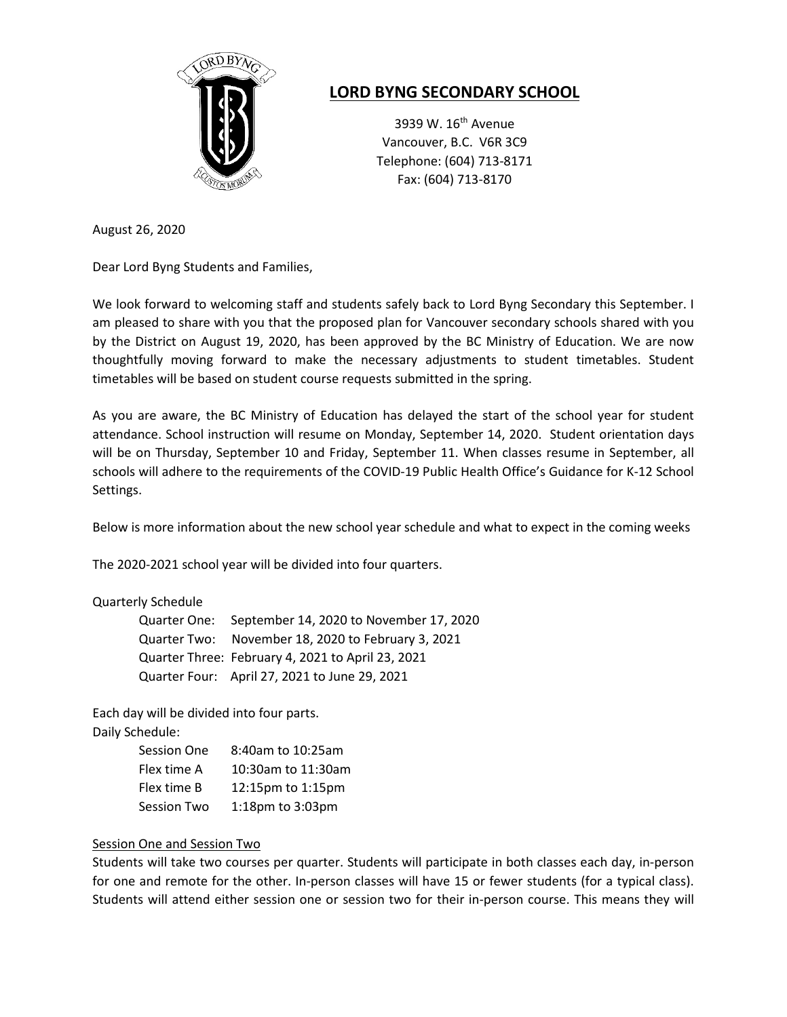

# **LORD BYNG SECONDARY SCHOOL**

3939 W. 16<sup>th</sup> Avenue Vancouver, B.C. V6R 3C9 Telephone: (604) 713-8171 Fax: (604) 713-8170

August 26, 2020

Dear Lord Byng Students and Families,

We look forward to welcoming staff and students safely back to Lord Byng Secondary this September. I am pleased to share with you that the proposed plan for Vancouver secondary schools shared with you by the District on August 19, 2020, has been approved by the BC Ministry of Education. We are now thoughtfully moving forward to make the necessary adjustments to student timetables. Student timetables will be based on student course requests submitted in the spring.

As you are aware, the BC Ministry of Education has delayed the start of the school year for student attendance. School instruction will resume on Monday, September 14, 2020. Student orientation days will be on Thursday, September 10 and Friday, September 11. When classes resume in September, all schools will adhere to the requirements of the COVID-19 Public Health Office's Guidance for K-12 School Settings.

Below is more information about the new school year schedule and what to expect in the coming weeks

The 2020-2021 school year will be divided into four quarters.

## Quarterly Schedule

| Quarter One: September 14, 2020 to November 17, 2020 |
|------------------------------------------------------|
| Quarter Two: November 18, 2020 to February 3, 2021   |
| Quarter Three: February 4, 2021 to April 23, 2021    |
| Quarter Four: April 27, 2021 to June 29, 2021        |

Each day will be divided into four parts.

|  | Daily Schedule: |
|--|-----------------|
|--|-----------------|

| Session One        | 8:40am to 10:25am  |
|--------------------|--------------------|
| Flex time A        | 10:30am to 11:30am |
| Flex time B        | 12:15pm to 1:15pm  |
| <b>Session Two</b> | 1:18pm to 3:03pm   |

## Session One and Session Two

Students will take two courses per quarter. Students will participate in both classes each day, in-person for one and remote for the other. In-person classes will have 15 or fewer students (for a typical class). Students will attend either session one or session two for their in-person course. This means they will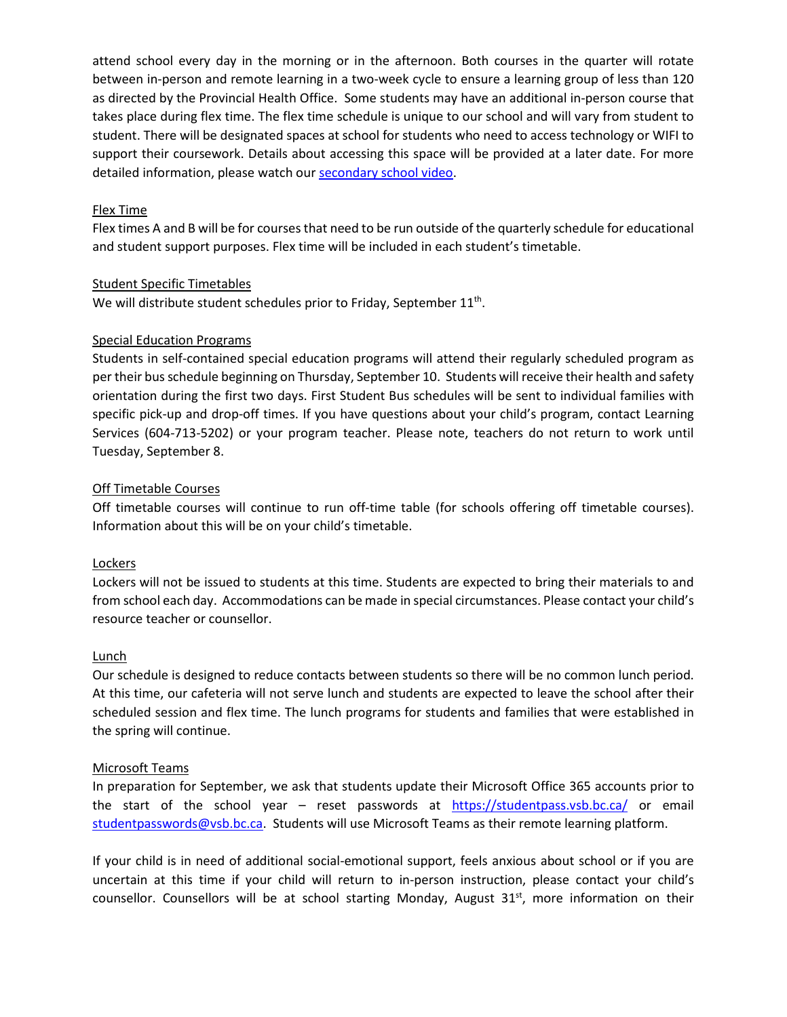attend school every day in the morning or in the afternoon. Both courses in the quarter will rotate between in-person and remote learning in a two-week cycle to ensure a learning group of less than 120 as directed by the Provincial Health Office. Some students may have an additional in-person course that takes place during flex time. The flex time schedule is unique to our school and will vary from student to student. There will be designated spaces at school for students who need to access technology or WIFI to support their coursework. Details about accessing this space will be provided at a later date. For more detailed information, please watch our [secondary school video.](https://www.youtube.com/watch?v=UW9GAj3n3ss)

## Flex Time

Flex times A and B will be for courses that need to be run outside of the quarterly schedule for educational and student support purposes. Flex time will be included in each student's timetable.

## Student Specific Timetables

We will distribute student schedules prior to Friday, September 11<sup>th</sup>.

### Special Education Programs

Students in self-contained special education programs will attend their regularly scheduled program as per their bus schedule beginning on Thursday, September 10. Students will receive their health and safety orientation during the first two days. First Student Bus schedules will be sent to individual families with specific pick-up and drop-off times. If you have questions about your child's program, contact Learning Services (604-713-5202) or your program teacher. Please note, teachers do not return to work until Tuesday, September 8.

### Off Timetable Courses

Off timetable courses will continue to run off-time table (for schools offering off timetable courses). Information about this will be on your child's timetable.

## Lockers

Lockers will not be issued to students at this time. Students are expected to bring their materials to and from school each day. Accommodations can be made in special circumstances. Please contact your child's resource teacher or counsellor.

## Lunch

Our schedule is designed to reduce contacts between students so there will be no common lunch period. At this time, our cafeteria will not serve lunch and students are expected to leave the school after their scheduled session and flex time. The lunch programs for students and families that were established in the spring will continue.

#### Microsoft Teams

In preparation for September, we ask that students update their Microsoft Office 365 accounts prior to the start of the school year – reset passwords at <https://studentpass.vsb.bc.ca/> or email [studentpasswords@vsb.bc.ca.](mailto:studentpasswords@vsb.bc.ca) Students will use Microsoft Teams as their remote learning platform.

If your child is in need of additional social-emotional support, feels anxious about school or if you are uncertain at this time if your child will return to in-person instruction, please contact your child's counsellor. Counsellors will be at school starting Monday, August  $31<sup>st</sup>$ , more information on their